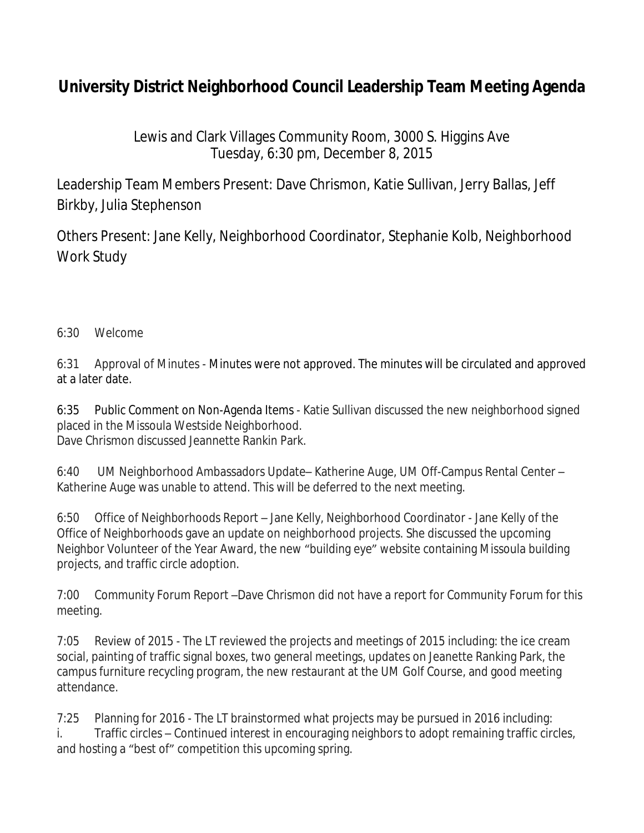## **University District Neighborhood Council Leadership Team Meeting Agenda**

Lewis and Clark Villages Community Room, 3000 S. Higgins Ave Tuesday, 6:30 pm, December 8, 2015

Leadership Team Members Present: Dave Chrismon, Katie Sullivan, Jerry Ballas, Jeff Birkby, Julia Stephenson

Others Present: Jane Kelly, Neighborhood Coordinator, Stephanie Kolb, Neighborhood Work Study

## 6:30 Welcome

6:31 Approval of Minutes - Minutes were not approved. The minutes will be circulated and approved at a later date.

6:35 Public Comment on Non-Agenda Items - Katie Sullivan discussed the new neighborhood signed placed in the Missoula Westside Neighborhood. Dave Chrismon discussed Jeannette Rankin Park.

6:40 UM Neighborhood Ambassadors Update– Katherine Auge, UM Off-Campus Rental Center – Katherine Auge was unable to attend. This will be deferred to the next meeting.

6:50 Office of Neighborhoods Report – Jane Kelly, Neighborhood Coordinator - Jane Kelly of the Office of Neighborhoods gave an update on neighborhood projects. She discussed the upcoming Neighbor Volunteer of the Year Award, the new "building eye" website containing Missoula building projects, and traffic circle adoption.

7:00 Community Forum Report –Dave Chrismon did not have a report for Community Forum for this meeting.

7:05 Review of 2015 - The LT reviewed the projects and meetings of 2015 including: the ice cream social, painting of traffic signal boxes, two general meetings, updates on Jeanette Ranking Park, the campus furniture recycling program, the new restaurant at the UM Golf Course, and good meeting attendance.

7:25 Planning for 2016 - The LT brainstormed what projects may be pursued in 2016 including: i. Traffic circles – Continued interest in encouraging neighbors to adopt remaining traffic circles, and hosting a "best of" competition this upcoming spring.